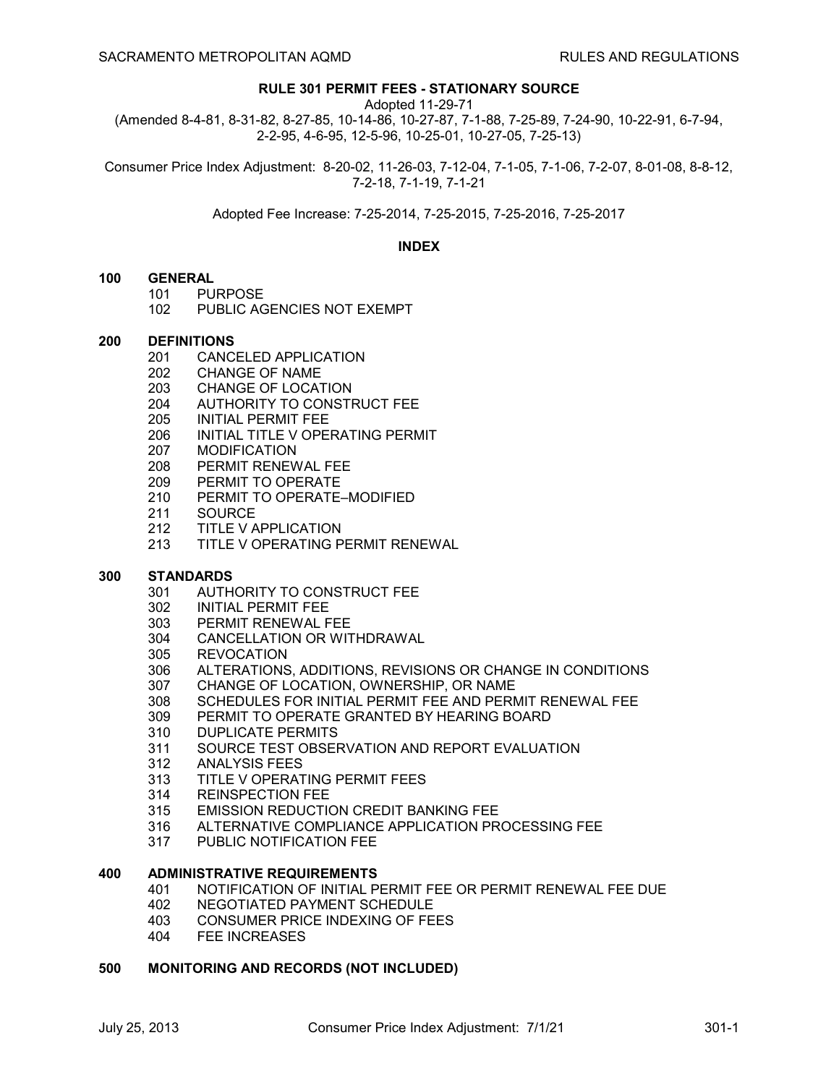## RULE 301 PERMIT FEES - STATIONARY SOURCE

Adopted 11-29-71

(Amended 8-4-81, 8-31-82, 8-27-85, 10-14-86, 10-27-87, 7-1-88, 7-25-89, 7-24-90, 10-22-91, 6-7-94, 2-2-95, 4-6-95, 12-5-96, 10-25-01, 10-27-05, 7-25-13)

Consumer Price Index Adjustment: 8-20-02, 11-26-03, 7-12-04, 7-1-05, 7-1-06, 7-2-07, 8-01-08, 8-8-12, 7-2-18, 7-1-19, 7-1-21

Adopted Fee Increase: 7-25-2014, 7-25-2015, 7-25-2016, 7-25-2017

## INDEX

#### 100 GENERAL

101 PURPOSE<br>102 PUBLIC AG PUBLIC AGENCIES NOT EXEMPT

# 200 DEFINITIONS

- 201 CANCELED APPLICATION
- 202 CHANGE OF NAME
- 203 CHANGE OF LOCATION
- 204 AUTHORITY TO CONSTRUCT FEE
- 205 INITIAL PERMIT FEE
- 206 INITIAL TITLE V OPERATING PERMIT
- 207 MODIFICATION
- 208 PERMIT RENEWAL FEE
- 209 PERMIT TO OPERATE<br>210 PERMIT TO OPERATE-
- PERMIT TO OPERATE–MODIFIED
- 211 SOURCE
- 212 TITLE V APPLICATION
- 213 TITLE V OPERATING PERMIT RENEWAL

## 300 STANDARDS

- 301 AUTHORITY TO CONSTRUCT FEE
- 302 INITIAL PERMIT FEE
	- 303 PERMIT RENEWAL FEE
	- 304 CANCELLATION OR WITHDRAWAL
	- 305 REVOCATION
	- 306 ALTERATIONS, ADDITIONS, REVISIONS OR CHANGE IN CONDITIONS
	- 307 CHANGE OF LOCATION, OWNERSHIP, OR NAME
	- 308 SCHEDULES FOR INITIAL PERMIT FEE AND PERMIT RENEWAL FEE
	- 309 PERMIT TO OPERATE GRANTED BY HEARING BOARD
	- 310 DUPLICATE PERMITS
	- 311 SOURCE TEST OBSERVATION AND REPORT EVALUATION
	- 312 ANALYSIS FEES
- 313 TITLE V OPERATING PERMIT FEES
- 314 REINSPECTION FEE
- 315 EMISSION REDUCTION CREDIT BANKING FEE
- 316 ALTERNATIVE COMPLIANCE APPLICATION PROCESSING FEE
- 317 PUBLIC NOTIFICATION FEE

# 400 ADMINISTRATIVE REQUIREMENTS

- 401 NOTIFICATION OF INITIAL PERMIT FEE OR PERMIT RENEWAL FEE DUE
- 402 NEGOTIATED PAYMENT SCHEDULE<br>403 CONSUMER PRICE INDEXING OF FE
- CONSUMER PRICE INDEXING OF FEES
- 404 FEE INCREASES

# 500 MONITORING AND RECORDS (NOT INCLUDED)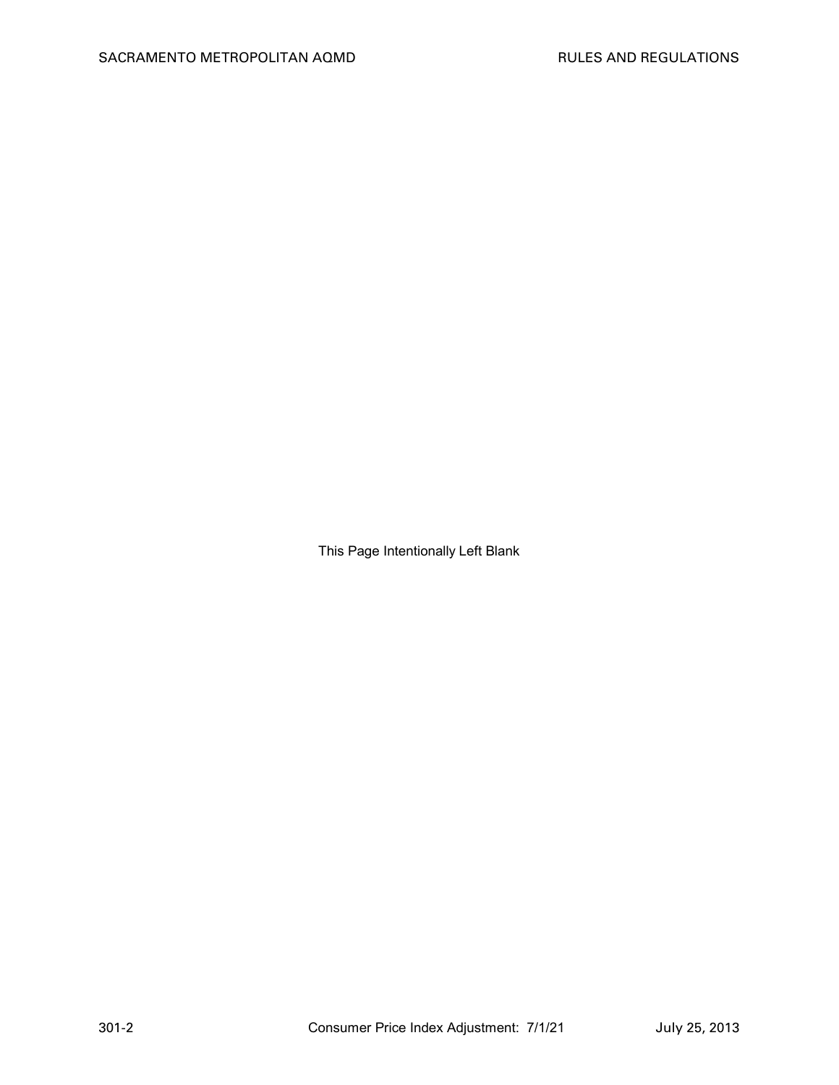This Page Intentionally Left Blank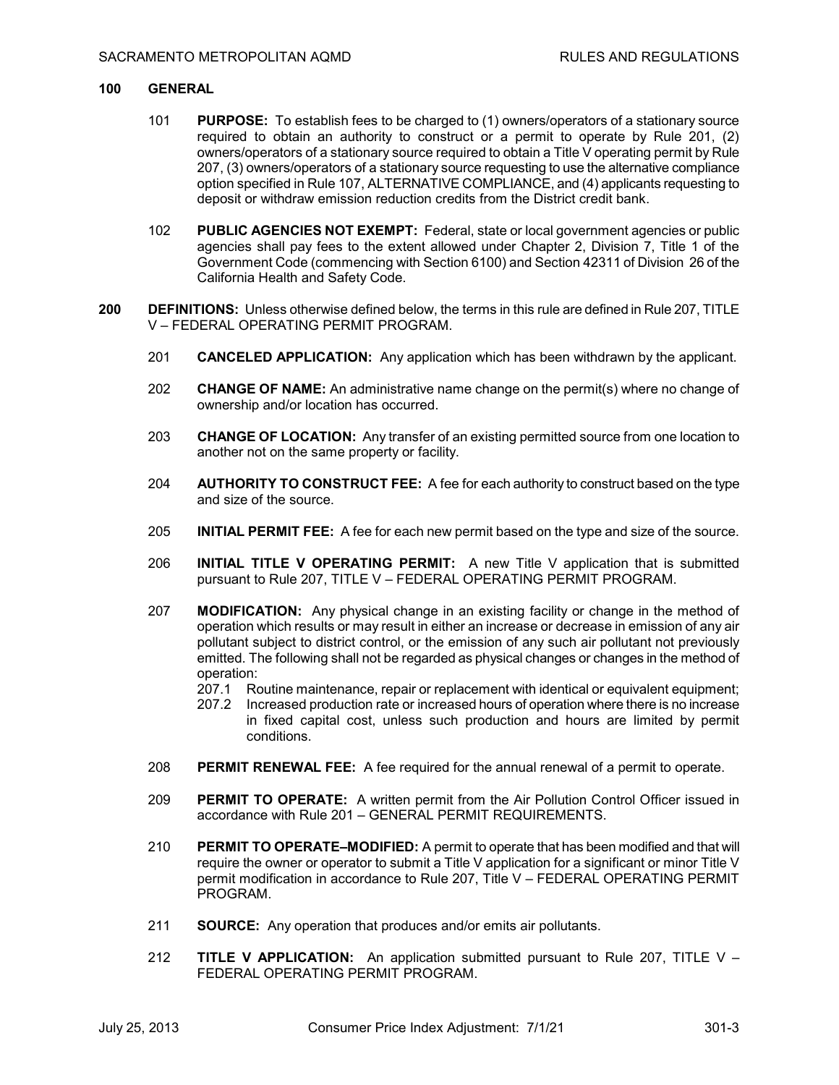#### 100 GENERAL

- 101 PURPOSE: To establish fees to be charged to (1) owners/operators of a stationary source required to obtain an authority to construct or a permit to operate by Rule 201, (2) owners/operators of a stationary source required to obtain a Title V operating permit by Rule 207, (3) owners/operators of a stationary source requesting to use the alternative compliance option specified in Rule 107, ALTERNATIVE COMPLIANCE, and (4) applicants requesting to deposit or withdraw emission reduction credits from the District credit bank.
- 102 PUBLIC AGENCIES NOT EXEMPT: Federal, state or local government agencies or public agencies shall pay fees to the extent allowed under Chapter 2, Division 7, Title 1 of the Government Code (commencing with Section 6100) and Section 42311 of Division 26 of the California Health and Safety Code.
- 200 DEFINITIONS: Unless otherwise defined below, the terms in this rule are defined in Rule 207, TITLE V – FEDERAL OPERATING PERMIT PROGRAM.
	- 201 CANCELED APPLICATION: Any application which has been withdrawn by the applicant.
	- 202 **CHANGE OF NAME:** An administrative name change on the permit(s) where no change of ownership and/or location has occurred.
	- 203 CHANGE OF LOCATION: Any transfer of an existing permitted source from one location to another not on the same property or facility.
	- 204 AUTHORITY TO CONSTRUCT FEE: A fee for each authority to construct based on the type and size of the source.
	- 205 **INITIAL PERMIT FEE:** A fee for each new permit based on the type and size of the source.
	- 206 **INITIAL TITLE V OPERATING PERMIT:** A new Title V application that is submitted pursuant to Rule 207, TITLE V – FEDERAL OPERATING PERMIT PROGRAM.
	- 207 **MODIFICATION:** Any physical change in an existing facility or change in the method of operation which results or may result in either an increase or decrease in emission of any air pollutant subject to district control, or the emission of any such air pollutant not previously emitted. The following shall not be regarded as physical changes or changes in the method of operation:
		- 207.1 Routine maintenance, repair or replacement with identical or equivalent equipment;
		- 207.2 Increased production rate or increased hours of operation where there is no increase in fixed capital cost, unless such production and hours are limited by permit conditions.
	- 208 PERMIT RENEWAL FEE: A fee required for the annual renewal of a permit to operate.
	- 209 PERMIT TO OPERATE: A written permit from the Air Pollution Control Officer issued in accordance with Rule 201 – GENERAL PERMIT REQUIREMENTS.
	- 210 PERMIT TO OPERATE–MODIFIED: A permit to operate that has been modified and that will require the owner or operator to submit a Title V application for a significant or minor Title V permit modification in accordance to Rule 207, Title V – FEDERAL OPERATING PERMIT PROGRAM.
	- 211 SOURCE: Any operation that produces and/or emits air pollutants.
	- 212 **TITLE V APPLICATION:** An application submitted pursuant to Rule 207, TITLE V FEDERAL OPERATING PERMIT PROGRAM.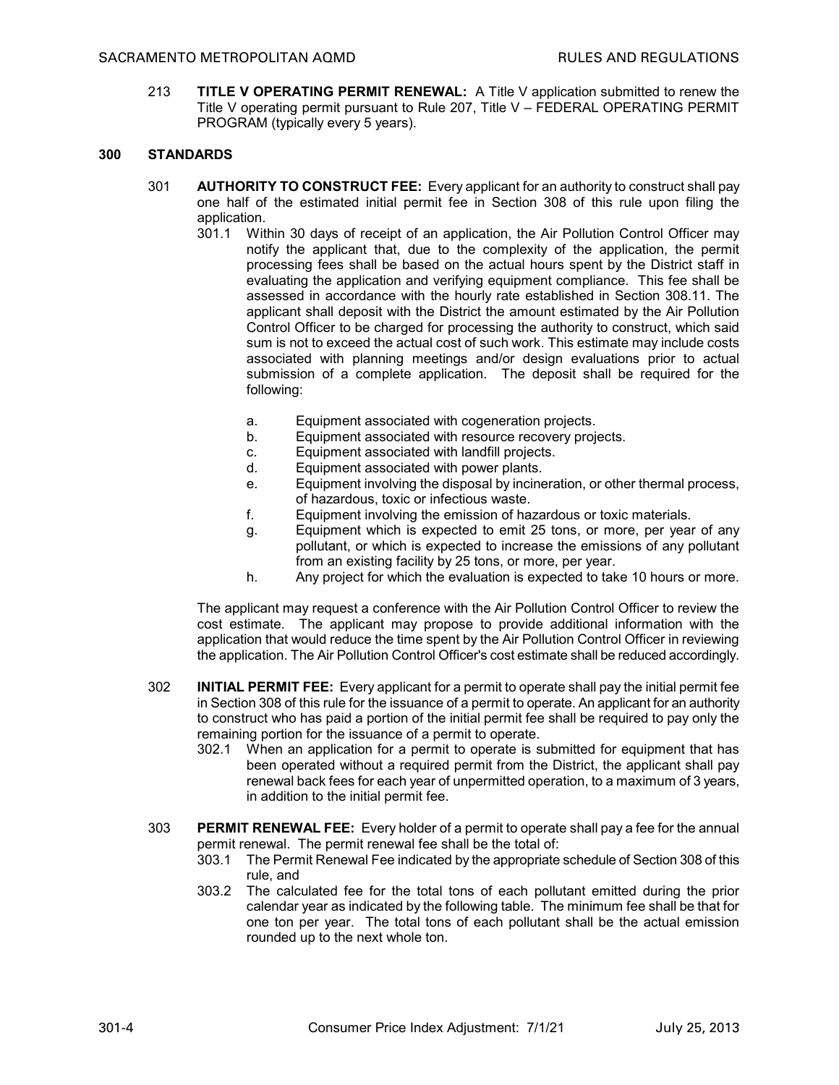213 TITLE V OPERATING PERMIT RENEWAL: A Title V application submitted to renew the Title V operating permit pursuant to Rule 207, Title V – FEDERAL OPERATING PERMIT PROGRAM (typically every 5 years).

# 300 STANDARDS

- 301 AUTHORITY TO CONSTRUCT FEE: Every applicant for an authority to construct shall pay one half of the estimated initial permit fee in Section 308 of this rule upon filing the application.
	- 301.1 Within 30 days of receipt of an application, the Air Pollution Control Officer may notify the applicant that, due to the complexity of the application, the permit processing fees shall be based on the actual hours spent by the District staff in evaluating the application and verifying equipment compliance. This fee shall be assessed in accordance with the hourly rate established in Section 308.11. The applicant shall deposit with the District the amount estimated by the Air Pollution Control Officer to be charged for processing the authority to construct, which said sum is not to exceed the actual cost of such work. This estimate may include costs associated with planning meetings and/or design evaluations prior to actual submission of a complete application. The deposit shall be required for the following:
		- a. Equipment associated with cogeneration projects.
		- b. Equipment associated with resource recovery projects.
		- c. Equipment associated with landfill projects.
		- d. Equipment associated with power plants.
		- e. Equipment involving the disposal by incineration, or other thermal process, of hazardous, toxic or infectious waste.
		- f. Equipment involving the emission of hazardous or toxic materials.
		- g. Equipment which is expected to emit 25 tons, or more, per year of any pollutant, or which is expected to increase the emissions of any pollutant from an existing facility by 25 tons, or more, per year.
		- h. Any project for which the evaluation is expected to take 10 hours or more.

The applicant may request a conference with the Air Pollution Control Officer to review the cost estimate. The applicant may propose to provide additional information with the application that would reduce the time spent by the Air Pollution Control Officer in reviewing the application. The Air Pollution Control Officer's cost estimate shall be reduced accordingly.

- 302 **INITIAL PERMIT FEE:** Every applicant for a permit to operate shall pay the initial permit fee in Section 308 of this rule for the issuance of a permit to operate. An applicant for an authority to construct who has paid a portion of the initial permit fee shall be required to pay only the remaining portion for the issuance of a permit to operate.
	- 302.1 When an application for a permit to operate is submitted for equipment that has been operated without a required permit from the District, the applicant shall pay renewal back fees for each year of unpermitted operation, to a maximum of 3 years, in addition to the initial permit fee.
- 303 PERMIT RENEWAL FEE: Every holder of a permit to operate shall pay a fee for the annual permit renewal. The permit renewal fee shall be the total of:
	- 303.1 The Permit Renewal Fee indicated by the appropriate schedule of Section 308 of this rule, and
	- 303.2 The calculated fee for the total tons of each pollutant emitted during the prior calendar year as indicated by the following table. The minimum fee shall be that for one ton per year. The total tons of each pollutant shall be the actual emission rounded up to the next whole ton.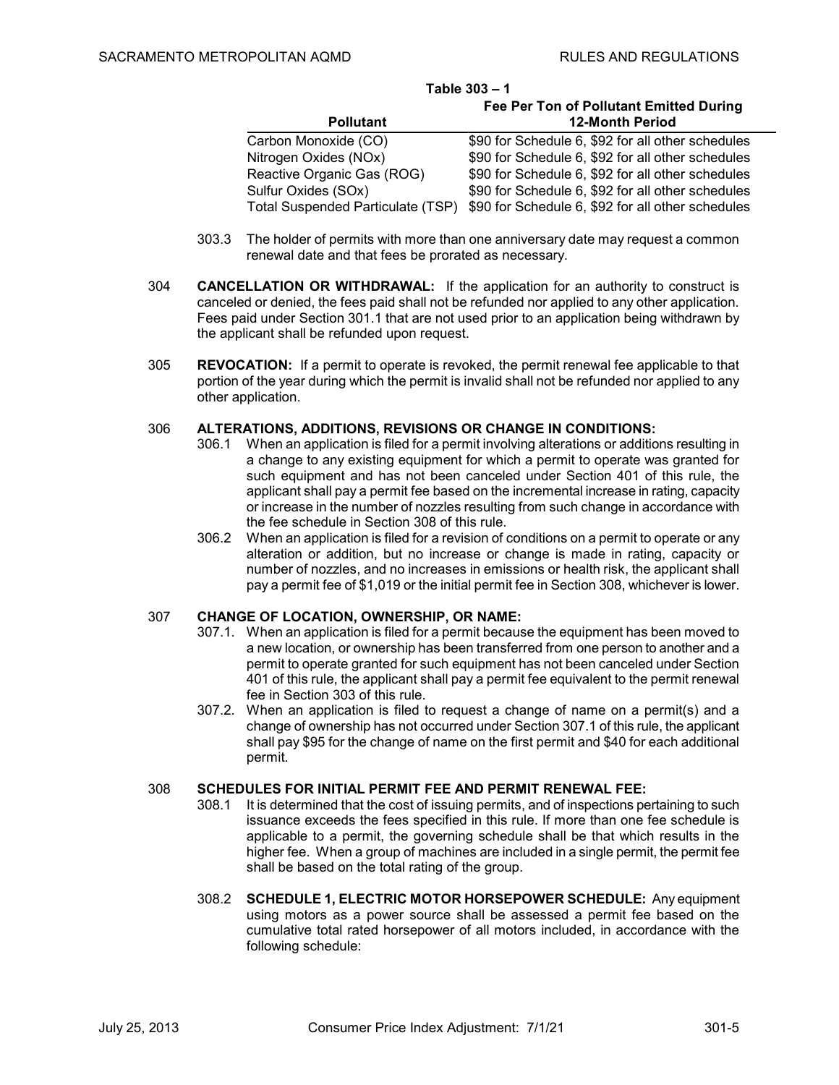# Table 303 – 1

|                                          | Fee Per Ton of Pollutant Emitted During           |
|------------------------------------------|---------------------------------------------------|
| <b>Pollutant</b>                         | <b>12-Month Period</b>                            |
| Carbon Monoxide (CO)                     | \$90 for Schedule 6, \$92 for all other schedules |
| Nitrogen Oxides (NOx)                    | \$90 for Schedule 6, \$92 for all other schedules |
| Reactive Organic Gas (ROG)               | \$90 for Schedule 6, \$92 for all other schedules |
| Sulfur Oxides (SOx)                      | \$90 for Schedule 6, \$92 for all other schedules |
| <b>Total Suspended Particulate (TSP)</b> | \$90 for Schedule 6, \$92 for all other schedules |

- 303.3 The holder of permits with more than one anniversary date may request a common renewal date and that fees be prorated as necessary.
- 304 **CANCELLATION OR WITHDRAWAL:** If the application for an authority to construct is canceled or denied, the fees paid shall not be refunded nor applied to any other application. Fees paid under Section 301.1 that are not used prior to an application being withdrawn by the applicant shall be refunded upon request.
- 305 REVOCATION: If a permit to operate is revoked, the permit renewal fee applicable to that portion of the year during which the permit is invalid shall not be refunded nor applied to any other application.

# 306 ALTERATIONS, ADDITIONS, REVISIONS OR CHANGE IN CONDITIONS:

- 306.1 When an application is filed for a permit involving alterations or additions resulting in a change to any existing equipment for which a permit to operate was granted for such equipment and has not been canceled under Section 401 of this rule, the applicant shall pay a permit fee based on the incremental increase in rating, capacity or increase in the number of nozzles resulting from such change in accordance with the fee schedule in Section 308 of this rule.
- 306.2 When an application is filed for a revision of conditions on a permit to operate or any alteration or addition, but no increase or change is made in rating, capacity or number of nozzles, and no increases in emissions or health risk, the applicant shall pay a permit fee of \$1,019 or the initial permit fee in Section 308, whichever is lower.

# 307 CHANGE OF LOCATION, OWNERSHIP, OR NAME:

- 307.1. When an application is filed for a permit because the equipment has been moved to a new location, or ownership has been transferred from one person to another and a permit to operate granted for such equipment has not been canceled under Section 401 of this rule, the applicant shall pay a permit fee equivalent to the permit renewal fee in Section 303 of this rule.
- 307.2. When an application is filed to request a change of name on a permit(s) and a change of ownership has not occurred under Section 307.1 of this rule, the applicant shall pay \$95 for the change of name on the first permit and \$40 for each additional permit.

## 308 SCHEDULES FOR INITIAL PERMIT FEE AND PERMIT RENEWAL FEE:

- 308.1 It is determined that the cost of issuing permits, and of inspections pertaining to such issuance exceeds the fees specified in this rule. If more than one fee schedule is applicable to a permit, the governing schedule shall be that which results in the higher fee. When a group of machines are included in a single permit, the permit fee shall be based on the total rating of the group.
- 308.2 SCHEDULE 1, ELECTRIC MOTOR HORSEPOWER SCHEDULE: Any equipment using motors as a power source shall be assessed a permit fee based on the cumulative total rated horsepower of all motors included, in accordance with the following schedule: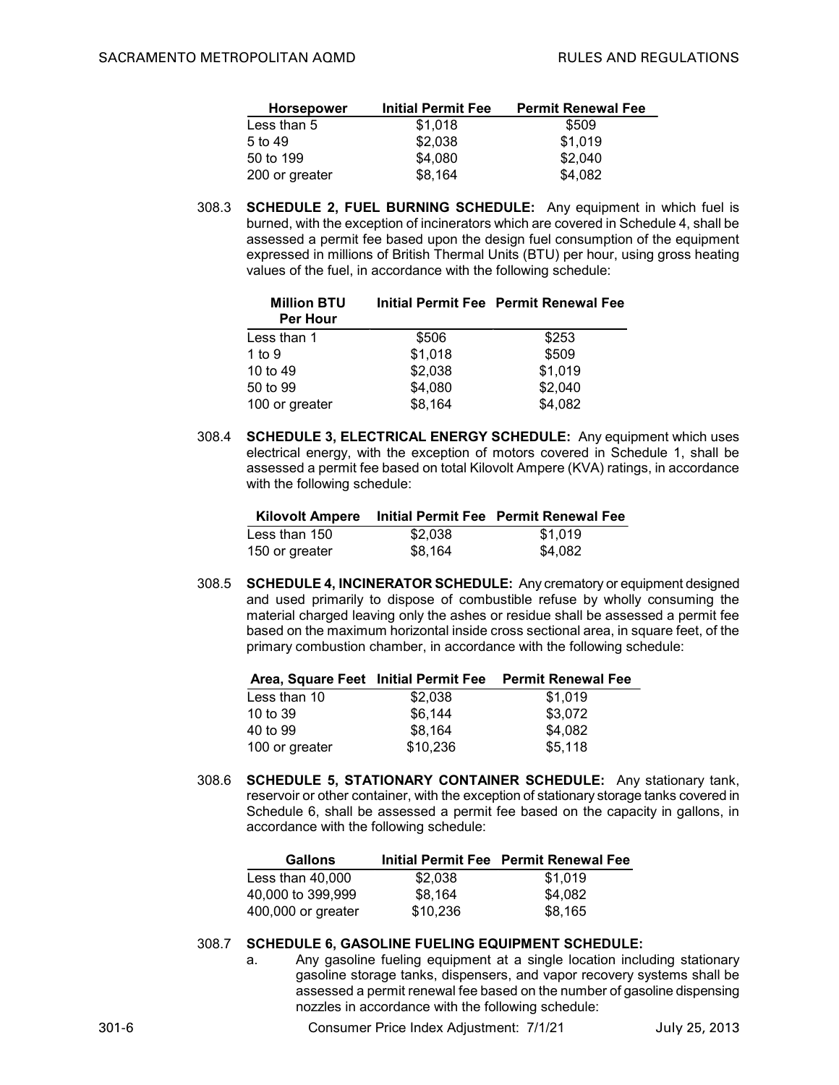| <b>Horsepower</b> | <b>Initial Permit Fee</b> | <b>Permit Renewal Fee</b> |
|-------------------|---------------------------|---------------------------|
| Less than 5       | \$1.018                   | \$509                     |
| 5 to 49           | \$2,038                   | \$1,019                   |
| 50 to 199         | \$4,080                   | \$2,040                   |
| 200 or greater    | \$8,164                   | \$4,082                   |

308.3 SCHEDULE 2, FUEL BURNING SCHEDULE: Any equipment in which fuel is burned, with the exception of incinerators which are covered in Schedule 4, shall be assessed a permit fee based upon the design fuel consumption of the equipment expressed in millions of British Thermal Units (BTU) per hour, using gross heating values of the fuel, in accordance with the following schedule:

| <b>Million BTU</b><br>Per Hour |         | Initial Permit Fee Permit Renewal Fee |  |
|--------------------------------|---------|---------------------------------------|--|
| Less than 1                    | \$506   | \$253                                 |  |
| 1 to $9$                       | \$1,018 | \$509                                 |  |
| 10 to 49                       | \$2,038 | \$1,019                               |  |
| 50 to 99                       | \$4,080 | \$2,040                               |  |
| 100 or greater                 | \$8,164 | \$4,082                               |  |

308.4 SCHEDULE 3, ELECTRICAL ENERGY SCHEDULE: Any equipment which uses electrical energy, with the exception of motors covered in Schedule 1, shall be assessed a permit fee based on total Kilovolt Ampere (KVA) ratings, in accordance with the following schedule:

| <b>Kilovolt Ampere</b> |         | Initial Permit Fee Permit Renewal Fee |
|------------------------|---------|---------------------------------------|
| Less than 150          | \$2,038 | \$1,019                               |
| 150 or greater         | \$8,164 | \$4,082                               |

308.5 **SCHEDULE 4, INCINERATOR SCHEDULE:** Any crematory or equipment designed and used primarily to dispose of combustible refuse by wholly consuming the material charged leaving only the ashes or residue shall be assessed a permit fee based on the maximum horizontal inside cross sectional area, in square feet, of the primary combustion chamber, in accordance with the following schedule:

|                |          | Area, Square Feet Initial Permit Fee Permit Renewal Fee |
|----------------|----------|---------------------------------------------------------|
| Less than 10   | \$2,038  | \$1,019                                                 |
| 10 to $39$     | \$6,144  | \$3,072                                                 |
| 40 to 99       | \$8,164  | \$4,082                                                 |
| 100 or greater | \$10,236 | \$5,118                                                 |

308.6 SCHEDULE 5, STATIONARY CONTAINER SCHEDULE: Any stationary tank, reservoir or other container, with the exception of stationary storage tanks covered in Schedule 6, shall be assessed a permit fee based on the capacity in gallons, in accordance with the following schedule:

| <b>Gallons</b>     |          | Initial Permit Fee Permit Renewal Fee |
|--------------------|----------|---------------------------------------|
| Less than $40.000$ | \$2,038  | \$1,019                               |
| 40,000 to 399,999  | \$8,164  | \$4,082                               |
| 400,000 or greater | \$10,236 | \$8,165                               |

## 308.7 SCHEDULE 6, GASOLINE FUELING EQUIPMENT SCHEDULE:

a. Any gasoline fueling equipment at a single location including stationary gasoline storage tanks, dispensers, and vapor recovery systems shall be assessed a permit renewal fee based on the number of gasoline dispensing nozzles in accordance with the following schedule: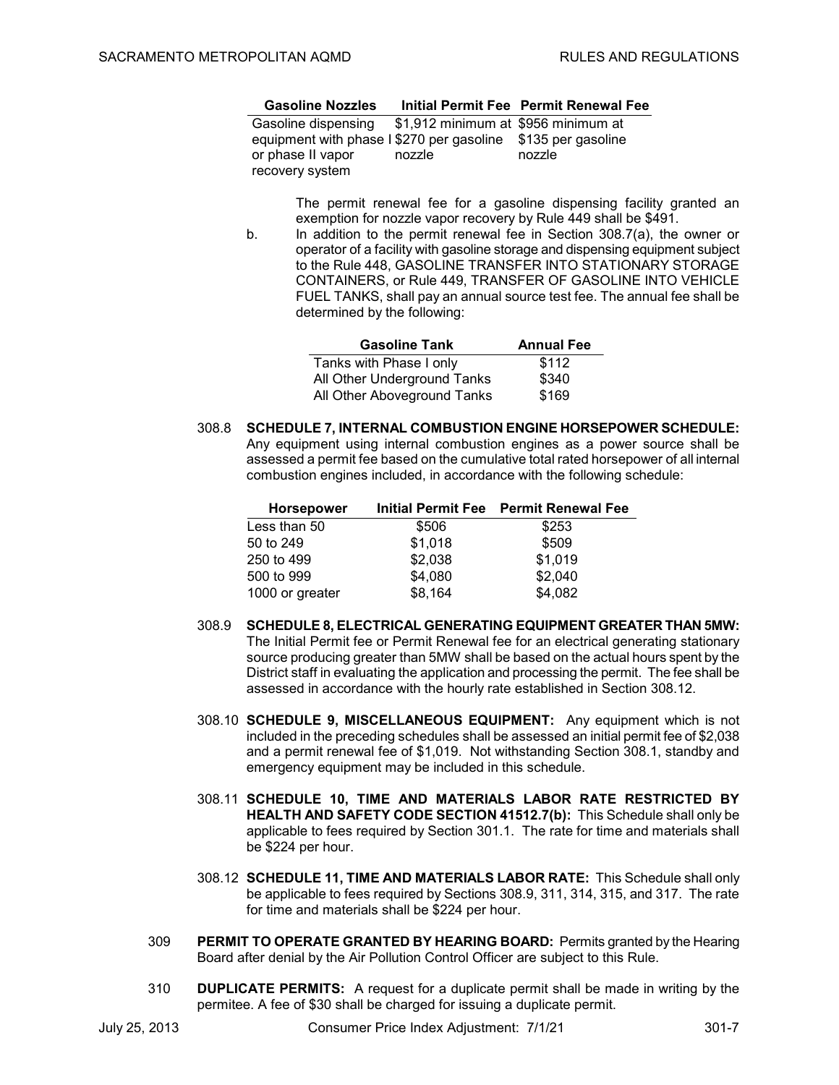|  | <b>Gasoline Nozzles</b> |  | Initial Permit Fee Permit Renewal Fee |
|--|-------------------------|--|---------------------------------------|
|--|-------------------------|--|---------------------------------------|

| Gasoline dispensing                                          | \$1,912 minimum at \$956 minimum at |        |
|--------------------------------------------------------------|-------------------------------------|--------|
| equipment with phase I \$270 per gasoline \$135 per gasoline |                                     |        |
| or phase II vapor                                            | nozzle                              | nozzle |
| recovery system                                              |                                     |        |

The permit renewal fee for a gasoline dispensing facility granted an exemption for nozzle vapor recovery by Rule 449 shall be \$491.

b. In addition to the permit renewal fee in Section 308.7(a), the owner or operator of a facility with gasoline storage and dispensing equipment subject to the Rule 448, GASOLINE TRANSFER INTO STATIONARY STORAGE CONTAINERS, or Rule 449, TRANSFER OF GASOLINE INTO VEHICLE FUEL TANKS, shall pay an annual source test fee. The annual fee shall be determined by the following:

| <b>Gasoline Tank</b>        | <b>Annual Fee</b> |
|-----------------------------|-------------------|
| Tanks with Phase I only     | \$112             |
| All Other Underground Tanks | \$340             |
| All Other Aboveground Tanks | \$169             |

308.8 SCHEDULE 7, INTERNAL COMBUSTION ENGINE HORSEPOWER SCHEDULE: Any equipment using internal combustion engines as a power source shall be assessed a permit fee based on the cumulative total rated horsepower of all internal combustion engines included, in accordance with the following schedule:

| Horsepower      |         | Initial Permit Fee Permit Renewal Fee |  |
|-----------------|---------|---------------------------------------|--|
| Less than 50    | \$506   | \$253                                 |  |
| 50 to 249       | \$1,018 | \$509                                 |  |
| 250 to 499      | \$2,038 | \$1,019                               |  |
| 500 to 999      | \$4,080 | \$2,040                               |  |
| 1000 or greater | \$8,164 | \$4,082                               |  |

- 308.9 SCHEDULE 8, ELECTRICAL GENERATING EQUIPMENT GREATER THAN 5MW: The Initial Permit fee or Permit Renewal fee for an electrical generating stationary source producing greater than 5MW shall be based on the actual hours spent by the District staff in evaluating the application and processing the permit. The fee shall be assessed in accordance with the hourly rate established in Section 308.12.
- 308.10 SCHEDULE 9, MISCELLANEOUS EQUIPMENT: Any equipment which is not included in the preceding schedules shall be assessed an initial permit fee of \$2,038 and a permit renewal fee of \$1,019. Not withstanding Section 308.1, standby and emergency equipment may be included in this schedule.
- 308.11 SCHEDULE 10, TIME AND MATERIALS LABOR RATE RESTRICTED BY HEALTH AND SAFETY CODE SECTION 41512.7(b): This Schedule shall only be applicable to fees required by Section 301.1. The rate for time and materials shall be \$224 per hour.
- 308.12 SCHEDULE 11, TIME AND MATERIALS LABOR RATE: This Schedule shall only be applicable to fees required by Sections 308.9, 311, 314, 315, and 317. The rate for time and materials shall be \$224 per hour.
- 309 PERMIT TO OPERATE GRANTED BY HEARING BOARD: Permits granted by the Hearing Board after denial by the Air Pollution Control Officer are subject to this Rule.
- 310 **DUPLICATE PERMITS:** A request for a duplicate permit shall be made in writing by the permitee. A fee of \$30 shall be charged for issuing a duplicate permit.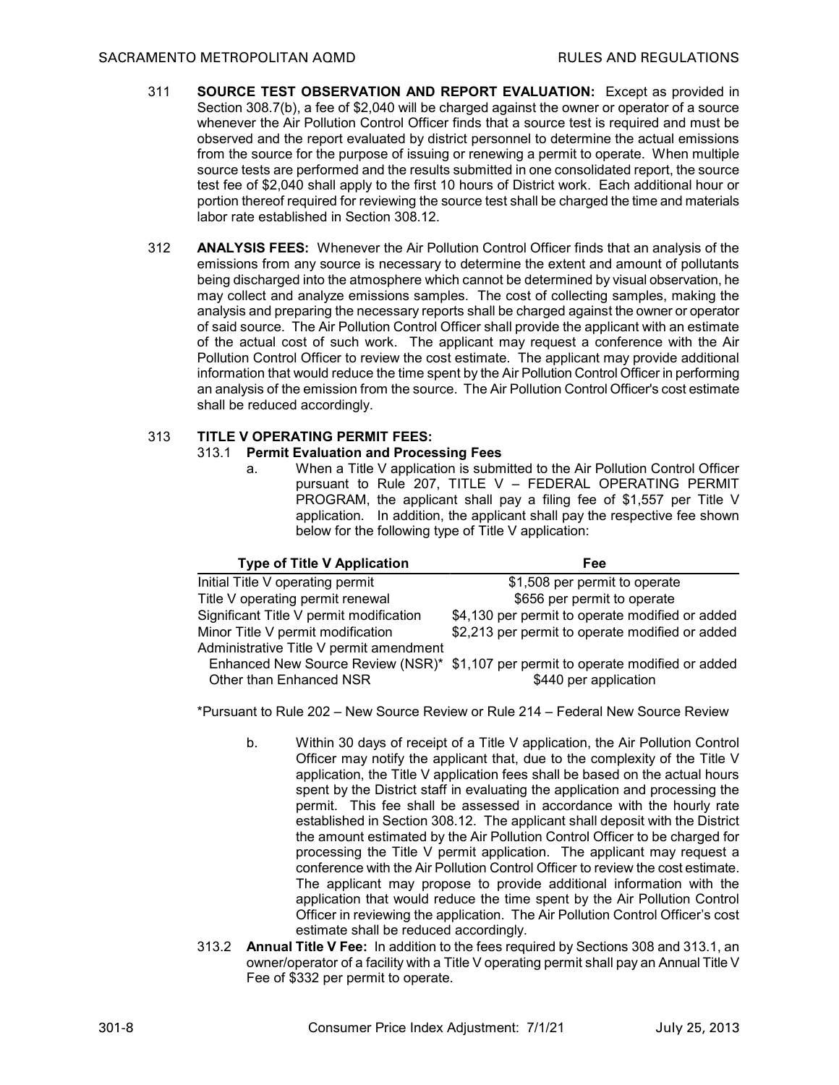- 311 SOURCE TEST OBSERVATION AND REPORT EVALUATION: Except as provided in Section 308.7(b), a fee of \$2,040 will be charged against the owner or operator of a source whenever the Air Pollution Control Officer finds that a source test is required and must be observed and the report evaluated by district personnel to determine the actual emissions from the source for the purpose of issuing or renewing a permit to operate. When multiple source tests are performed and the results submitted in one consolidated report, the source test fee of \$2,040 shall apply to the first 10 hours of District work. Each additional hour or portion thereof required for reviewing the source test shall be charged the time and materials labor rate established in Section 308.12.
- 312 ANALYSIS FEES: Whenever the Air Pollution Control Officer finds that an analysis of the emissions from any source is necessary to determine the extent and amount of pollutants being discharged into the atmosphere which cannot be determined by visual observation, he may collect and analyze emissions samples. The cost of collecting samples, making the analysis and preparing the necessary reports shall be charged against the owner or operator of said source. The Air Pollution Control Officer shall provide the applicant with an estimate of the actual cost of such work. The applicant may request a conference with the Air Pollution Control Officer to review the cost estimate. The applicant may provide additional information that would reduce the time spent by the Air Pollution Control Officer in performing an analysis of the emission from the source. The Air Pollution Control Officer's cost estimate shall be reduced accordingly.

# 313 TITLE V OPERATING PERMIT FEES:

- 313.1 Permit Evaluation and Processing Fees
	- a. When a Title V application is submitted to the Air Pollution Control Officer pursuant to Rule 207, TITLE V – FEDERAL OPERATING PERMIT PROGRAM, the applicant shall pay a filing fee of \$1,557 per Title V application. In addition, the applicant shall pay the respective fee shown below for the following type of Title V application:

| <b>Type of Title V Application</b>      | Fee                                                                               |
|-----------------------------------------|-----------------------------------------------------------------------------------|
| Initial Title V operating permit        | \$1,508 per permit to operate                                                     |
| Title V operating permit renewal        | \$656 per permit to operate                                                       |
| Significant Title V permit modification | \$4,130 per permit to operate modified or added                                   |
| Minor Title V permit modification       | \$2,213 per permit to operate modified or added                                   |
| Administrative Title V permit amendment |                                                                                   |
|                                         | Enhanced New Source Review (NSR)* \$1,107 per permit to operate modified or added |
| Other than Enhanced NSR                 | \$440 per application                                                             |

\*Pursuant to Rule 202 – New Source Review or Rule 214 – Federal New Source Review

- b. Within 30 days of receipt of a Title V application, the Air Pollution Control Officer may notify the applicant that, due to the complexity of the Title V application, the Title V application fees shall be based on the actual hours spent by the District staff in evaluating the application and processing the permit. This fee shall be assessed in accordance with the hourly rate established in Section 308.12. The applicant shall deposit with the District the amount estimated by the Air Pollution Control Officer to be charged for processing the Title V permit application. The applicant may request a conference with the Air Pollution Control Officer to review the cost estimate. The applicant may propose to provide additional information with the application that would reduce the time spent by the Air Pollution Control Officer in reviewing the application. The Air Pollution Control Officer's cost estimate shall be reduced accordingly.
- 313.2 Annual Title V Fee: In addition to the fees required by Sections 308 and 313.1, an owner/operator of a facility with a Title V operating permit shall pay an Annual Title V Fee of \$332 per permit to operate.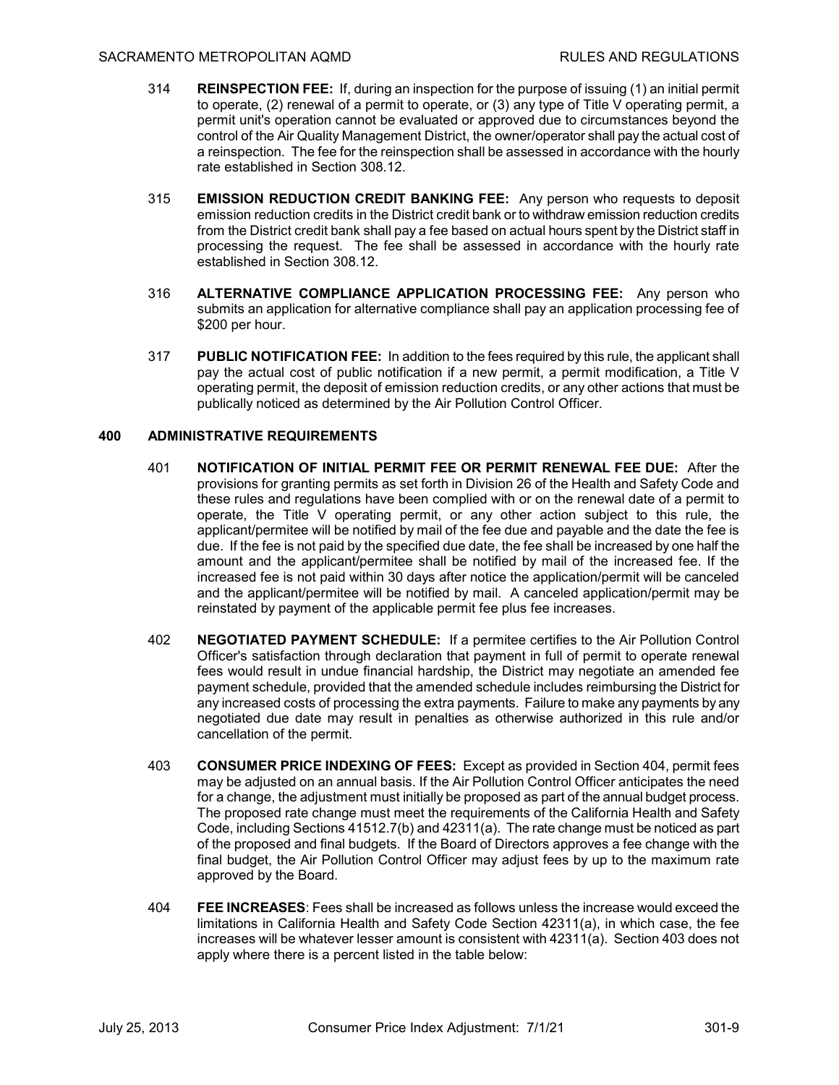- 314 REINSPECTION FEE: If, during an inspection for the purpose of issuing (1) an initial permit to operate, (2) renewal of a permit to operate, or (3) any type of Title V operating permit, a permit unit's operation cannot be evaluated or approved due to circumstances beyond the control of the Air Quality Management District, the owner/operator shall pay the actual cost of a reinspection. The fee for the reinspection shall be assessed in accordance with the hourly rate established in Section 308.12.
- 315 EMISSION REDUCTION CREDIT BANKING FEE: Any person who requests to deposit emission reduction credits in the District credit bank or to withdraw emission reduction credits from the District credit bank shall pay a fee based on actual hours spent by the District staff in processing the request. The fee shall be assessed in accordance with the hourly rate established in Section 308.12.
- 316 ALTERNATIVE COMPLIANCE APPLICATION PROCESSING FEE: Any person who submits an application for alternative compliance shall pay an application processing fee of \$200 per hour.
- 317 PUBLIC NOTIFICATION FEE: In addition to the fees required by this rule, the applicant shall pay the actual cost of public notification if a new permit, a permit modification, a Title V operating permit, the deposit of emission reduction credits, or any other actions that must be publically noticed as determined by the Air Pollution Control Officer.

# 400 ADMINISTRATIVE REQUIREMENTS

- 401 NOTIFICATION OF INITIAL PERMIT FEE OR PERMIT RENEWAL FEE DUE: After the provisions for granting permits as set forth in Division 26 of the Health and Safety Code and these rules and regulations have been complied with or on the renewal date of a permit to operate, the Title V operating permit, or any other action subject to this rule, the applicant/permitee will be notified by mail of the fee due and payable and the date the fee is due. If the fee is not paid by the specified due date, the fee shall be increased by one half the amount and the applicant/permitee shall be notified by mail of the increased fee. If the increased fee is not paid within 30 days after notice the application/permit will be canceled and the applicant/permitee will be notified by mail. A canceled application/permit may be reinstated by payment of the applicable permit fee plus fee increases.
- 402 NEGOTIATED PAYMENT SCHEDULE: If a permitee certifies to the Air Pollution Control Officer's satisfaction through declaration that payment in full of permit to operate renewal fees would result in undue financial hardship, the District may negotiate an amended fee payment schedule, provided that the amended schedule includes reimbursing the District for any increased costs of processing the extra payments. Failure to make any payments by any negotiated due date may result in penalties as otherwise authorized in this rule and/or cancellation of the permit.
- 403 CONSUMER PRICE INDEXING OF FEES: Except as provided in Section 404, permit fees may be adjusted on an annual basis. If the Air Pollution Control Officer anticipates the need for a change, the adjustment must initially be proposed as part of the annual budget process. The proposed rate change must meet the requirements of the California Health and Safety Code, including Sections 41512.7(b) and 42311(a). The rate change must be noticed as part of the proposed and final budgets. If the Board of Directors approves a fee change with the final budget, the Air Pollution Control Officer may adjust fees by up to the maximum rate approved by the Board.
- 404 FEE INCREASES: Fees shall be increased as follows unless the increase would exceed the limitations in California Health and Safety Code Section 42311(a), in which case, the fee increases will be whatever lesser amount is consistent with 42311(a). Section 403 does not apply where there is a percent listed in the table below: